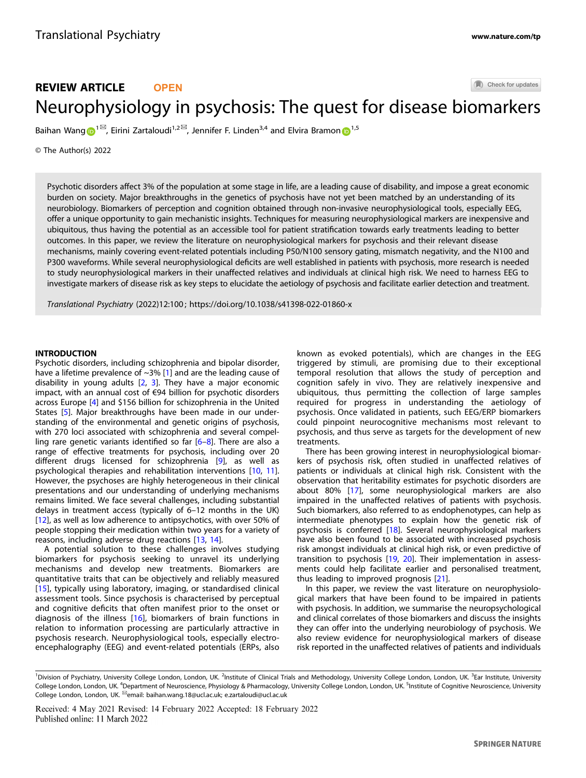# Check for updates REVIEW ARTICLE **OPEN** Neurophysiology in psychosis: The quest for disease bi[o](http://crossmark.crossref.org/dialog/?doi=10.1038/s41398-022-01860-x&domain=pdf)markers

Baihan Wan[g](http://orcid.org/0000-0001-6986-8236)  $\bigcirc^{1\boxtimes}$  $\bigcirc^{1\boxtimes}$  $\bigcirc^{1\boxtimes}$ , Eirini Zartaloudi<sup>1,2 $\boxtimes$ </sup>, Jennifer F. Linden<sup>3,4</sup> and Elvira Bramon  $\bigcirc^{1,5}$ 

© The Author(s) 2022

Psychotic disorders affect 3% of the population at some stage in life, are a leading cause of disability, and impose a great economic burden on society. Major breakthroughs in the genetics of psychosis have not yet been matched by an understanding of its neurobiology. Biomarkers of perception and cognition obtained through non-invasive neurophysiological tools, especially EEG, offer a unique opportunity to gain mechanistic insights. Techniques for measuring neurophysiological markers are inexpensive and ubiquitous, thus having the potential as an accessible tool for patient stratification towards early treatments leading to better outcomes. In this paper, we review the literature on neurophysiological markers for psychosis and their relevant disease mechanisms, mainly covering event-related potentials including P50/N100 sensory gating, mismatch negativity, and the N100 and P300 waveforms. While several neurophysiological deficits are well established in patients with psychosis, more research is needed to study neurophysiological markers in their unaffected relatives and individuals at clinical high risk. We need to harness EEG to investigate markers of disease risk as key steps to elucidate the aetiology of psychosis and facilitate earlier detection and treatment.

Translational Psychiatry (2022) 12:100 ; https://doi.org[/10.1038/s41398-022-01860-x](https://doi.org/10.1038/s41398-022-01860-x)

# INTRODUCTION

Psychotic disorders, including schizophrenia and bipolar disorder, have a lifetime prevalence of ~3% [\[1\]](#page-6-0) and are the leading cause of disability in young adults [\[2,](#page-6-0) [3\]](#page-6-0). They have a major economic impact, with an annual cost of €94 billion for psychotic disorders across Europe [\[4\]](#page-6-0) and \$156 billion for schizophrenia in the United States [[5](#page-6-0)]. Major breakthroughs have been made in our understanding of the environmental and genetic origins of psychosis, with 270 loci associated with schizophrenia and several compelling rare genetic variants identified so far [[6](#page-6-0)–[8\]](#page-6-0). There are also a range of effective treatments for psychosis, including over 20 different drugs licensed for schizophrenia [[9](#page-6-0)], as well as psychological therapies and rehabilitation interventions [[10,](#page-6-0) [11\]](#page-6-0). However, the psychoses are highly heterogeneous in their clinical presentations and our understanding of underlying mechanisms remains limited. We face several challenges, including substantial delays in treatment access (typically of 6–12 months in the UK) [\[12\]](#page-6-0), as well as low adherence to antipsychotics, with over 50% of people stopping their medication within two years for a variety of reasons, including adverse drug reactions [\[13,](#page-6-0) [14](#page-6-0)].

A potential solution to these challenges involves studying biomarkers for psychosis seeking to unravel its underlying mechanisms and develop new treatments. Biomarkers are quantitative traits that can be objectively and reliably measured [\[15\]](#page-6-0), typically using laboratory, imaging, or standardised clinical assessment tools. Since psychosis is characterised by perceptual and cognitive deficits that often manifest prior to the onset or diagnosis of the illness [[16\]](#page-6-0), biomarkers of brain functions in relation to information processing are particularly attractive in psychosis research. Neurophysiological tools, especially electroencephalography (EEG) and event-related potentials (ERPs, also known as evoked potentials), which are changes in the EEG triggered by stimuli, are promising due to their exceptional temporal resolution that allows the study of perception and cognition safely in vivo. They are relatively inexpensive and ubiquitous, thus permitting the collection of large samples required for progress in understanding the aetiology of psychosis. Once validated in patients, such EEG/ERP biomarkers could pinpoint neurocognitive mechanisms most relevant to psychosis, and thus serve as targets for the development of new treatments.

There has been growing interest in neurophysiological biomarkers of psychosis risk, often studied in unaffected relatives of patients or individuals at clinical high risk. Consistent with the observation that heritability estimates for psychotic disorders are about 80% [[17\]](#page-6-0), some neurophysiological markers are also impaired in the unaffected relatives of patients with psychosis. Such biomarkers, also referred to as endophenotypes, can help as intermediate phenotypes to explain how the genetic risk of psychosis is conferred [\[18\]](#page-6-0). Several neurophysiological markers have also been found to be associated with increased psychosis risk amongst individuals at clinical high risk, or even predictive of transition to psychosis [[19](#page-6-0), [20\]](#page-6-0). Their implementation in assessments could help facilitate earlier and personalised treatment, thus leading to improved prognosis [[21](#page-6-0)].

In this paper, we review the vast literature on neurophysiological markers that have been found to be impaired in patients with psychosis. In addition, we summarise the neuropsychological and clinical correlates of those biomarkers and discuss the insights they can offer into the underlying neurobiology of psychosis. We also review evidence for neurophysiological markers of disease risk reported in the unaffected relatives of patients and individuals

<sup>&</sup>lt;sup>1</sup>Division of Psychiatry, University College London, London, UK. <sup>2</sup>Institute of Clinical Trials and Methodology, University College London, London, UK. <sup>3</sup>Ear Institute, University College London, London, UK. <sup>4</sup>Department of Neuroscience, Physiology & Pharmacology, University College London, London, UK. <sup>5</sup>Institute of Cognitive Neuroscience, University College London, London, UK. <sup>⊠</sup>email: [baihan.wang.18@ucl.ac.uk;](mailto:baihan.wang.18@ucl.ac.uk) [e.zartaloudi@ucl.ac.uk](mailto:e.zartaloudi@ucl.ac.uk)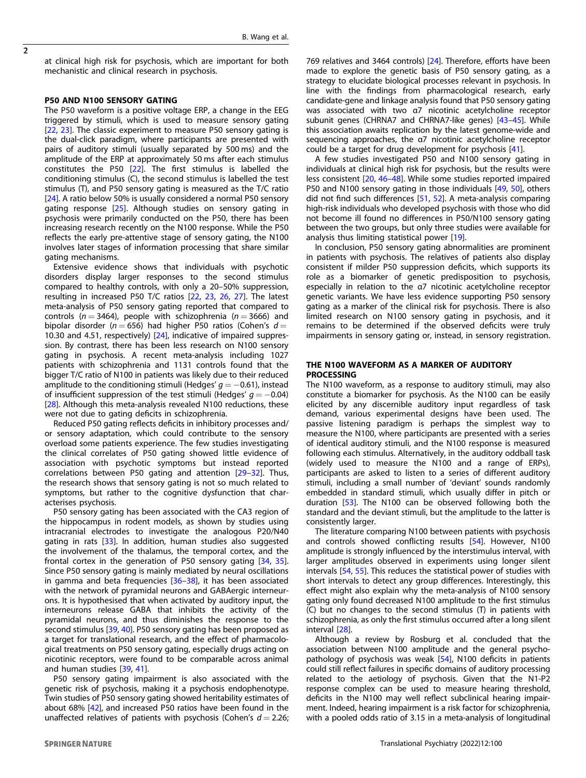$\overline{2}$ 

at clinical high risk for psychosis, which are important for both mechanistic and clinical research in psychosis.

## P50 AND N100 SENSORY GATING

The P50 waveform is a positive voltage ERP, a change in the EEG triggered by stimuli, which is used to measure sensory gating [[22,](#page-6-0) [23\]](#page-6-0). The classic experiment to measure P50 sensory gating is the dual-click paradigm, where participants are presented with pairs of auditory stimuli (usually separated by 500 ms) and the amplitude of the ERP at approximately 50 ms after each stimulus constitutes the P50 [[22\]](#page-6-0). The first stimulus is labelled the conditioning stimulus (C), the second stimulus is labelled the test stimulus (T), and P50 sensory gating is measured as the T/C ratio [[24\]](#page-6-0). A ratio below 50% is usually considered a normal P50 sensory gating response [[25\]](#page-6-0). Although studies on sensory gating in psychosis were primarily conducted on the P50, there has been increasing research recently on the N100 response. While the P50 reflects the early pre-attentive stage of sensory gating, the N100 involves later stages of information processing that share similar gating mechanisms.

Extensive evidence shows that individuals with psychotic disorders display larger responses to the second stimulus compared to healthy controls, with only a 20–50% suppression, resulting in increased P50 T/C ratios [[22,](#page-6-0) [23,](#page-6-0) [26](#page-6-0), [27](#page-6-0)]. The latest meta-analysis of P50 sensory gating reported that compared to controls ( $n = 3464$ ), people with schizophrenia ( $n = 3666$ ) and bipolar disorder ( $n = 656$ ) had higher P50 ratios (Cohen's  $d =$ 10.30 and 4.51, respectively) [[24\]](#page-6-0), indicative of impaired suppression. By contrast, there has been less research on N100 sensory gating in psychosis. A recent meta-analysis including 1027 patients with schizophrenia and 1131 controls found that the bigger T/C ratio of N100 in patients was likely due to their reduced amplitude to the conditioning stimuli (Hedges'  $g = -0.61$ ), instead of insufficient suppression of the test stimuli (Hedges'  $q = -0.04$ ) [[28\]](#page-6-0). Although this meta-analysis revealed N100 reductions, these were not due to gating deficits in schizophrenia.

Reduced P50 gating reflects deficits in inhibitory processes and/ or sensory adaptation, which could contribute to the sensory overload some patients experience. The few studies investigating the clinical correlates of P50 gating showed little evidence of association with psychotic symptoms but instead reported correlations between P50 gating and attention [[29](#page-6-0)–[32](#page-6-0)]. Thus, the research shows that sensory gating is not so much related to symptoms, but rather to the cognitive dysfunction that characterises psychosis.

P50 sensory gating has been associated with the CA3 region of the hippocampus in rodent models, as shown by studies using intracranial electrodes to investigate the analogous P20/N40 gating in rats [\[33](#page-6-0)]. In addition, human studies also suggested the involvement of the thalamus, the temporal cortex, and the frontal cortex in the generation of P50 sensory gating [\[34](#page-6-0), [35](#page-6-0)]. Since P50 sensory gating is mainly mediated by neural oscillations in gamma and beta frequencies [\[36](#page-6-0)–[38\]](#page-6-0), it has been associated with the network of pyramidal neurons and GABAergic interneurons. It is hypothesised that when activated by auditory input, the interneurons release GABA that inhibits the activity of the pyramidal neurons, and thus diminishes the response to the second stimulus [\[39](#page-6-0), [40](#page-6-0)]. P50 sensory gating has been proposed as a target for translational research, and the effect of pharmacological treatments on P50 sensory gating, especially drugs acting on nicotinic receptors, were found to be comparable across animal and human studies [\[39](#page-6-0), [41](#page-6-0)].

P50 sensory gating impairment is also associated with the genetic risk of psychosis, making it a psychosis endophenotype. Twin studies of P50 sensory gating showed heritability estimates of about 68% [[42\]](#page-6-0), and increased P50 ratios have been found in the unaffected relatives of patients with psychosis (Cohen's  $d = 2.26$ ;

769 relatives and 3464 controls) [[24](#page-6-0)]. Therefore, efforts have been made to explore the genetic basis of P50 sensory gating, as a strategy to elucidate biological processes relevant in psychosis. In line with the findings from pharmacological research, early candidate-gene and linkage analysis found that P50 sensory gating was associated with two α7 nicotinic acetylcholine receptor subunit genes (CHRNA7 and CHRNA7-like genes) [[43](#page-6-0)–[45](#page-6-0)]. While this association awaits replication by the latest genome-wide and sequencing approaches, the α7 nicotinic acetylcholine receptor could be a target for drug development for psychosis [\[41](#page-6-0)].

A few studies investigated P50 and N100 sensory gating in individuals at clinical high risk for psychosis, but the results were less consistent [\[20](#page-6-0), [46](#page-6-0)–[48\]](#page-6-0). While some studies reported impaired P50 and N100 sensory gating in those individuals [[49,](#page-6-0) [50\]](#page-6-0), others did not find such differences [[51,](#page-7-0) [52\]](#page-7-0). A meta-analysis comparing high-risk individuals who developed psychosis with those who did not become ill found no differences in P50/N100 sensory gating between the two groups, but only three studies were available for analysis thus limiting statistical power [[19\]](#page-6-0).

In conclusion, P50 sensory gating abnormalities are prominent in patients with psychosis. The relatives of patients also display consistent if milder P50 suppression deficits, which supports its role as a biomarker of genetic predisposition to psychosis, especially in relation to the α7 nicotinic acetylcholine receptor genetic variants. We have less evidence supporting P50 sensory gating as a marker of the clinical risk for psychosis. There is also limited research on N100 sensory gating in psychosis, and it remains to be determined if the observed deficits were truly impairments in sensory gating or, instead, in sensory registration.

# THE N100 WAVEFORM AS A MARKER OF AUDITORY **PROCESSING**

The N100 waveform, as a response to auditory stimuli, may also constitute a biomarker for psychosis. As the N100 can be easily elicited by any discernible auditory input regardless of task demand, various experimental designs have been used. The passive listening paradigm is perhaps the simplest way to measure the N100, where participants are presented with a series of identical auditory stimuli, and the N100 response is measured following each stimulus. Alternatively, in the auditory oddball task (widely used to measure the N100 and a range of ERPs), participants are asked to listen to a series of different auditory stimuli, including a small number of 'deviant' sounds randomly embedded in standard stimuli, which usually differ in pitch or duration [[53\]](#page-7-0). The N100 can be observed following both the standard and the deviant stimuli, but the amplitude to the latter is consistently larger.

The literature comparing N100 between patients with psychosis and controls showed conflicting results [[54\]](#page-7-0). However, N100 amplitude is strongly influenced by the interstimulus interval, with larger amplitudes observed in experiments using longer silent intervals [[54,](#page-7-0) [55](#page-7-0)]. This reduces the statistical power of studies with short intervals to detect any group differences. Interestingly, this effect might also explain why the meta-analysis of N100 sensory gating only found decreased N100 amplitude to the first stimulus (C) but no changes to the second stimulus (T) in patients with schizophrenia, as only the first stimulus occurred after a long silent interval [[28\]](#page-6-0).

Although a review by Rosburg et al. concluded that the association between N100 amplitude and the general psychopathology of psychosis was weak [[54\]](#page-7-0), N100 deficits in patients could still reflect failures in specific domains of auditory processing related to the aetiology of psychosis. Given that the N1-P2 response complex can be used to measure hearing threshold, deficits in the N100 may well reflect subclinical hearing impairment. Indeed, hearing impairment is a risk factor for schizophrenia, with a pooled odds ratio of 3.15 in a meta-analysis of longitudinal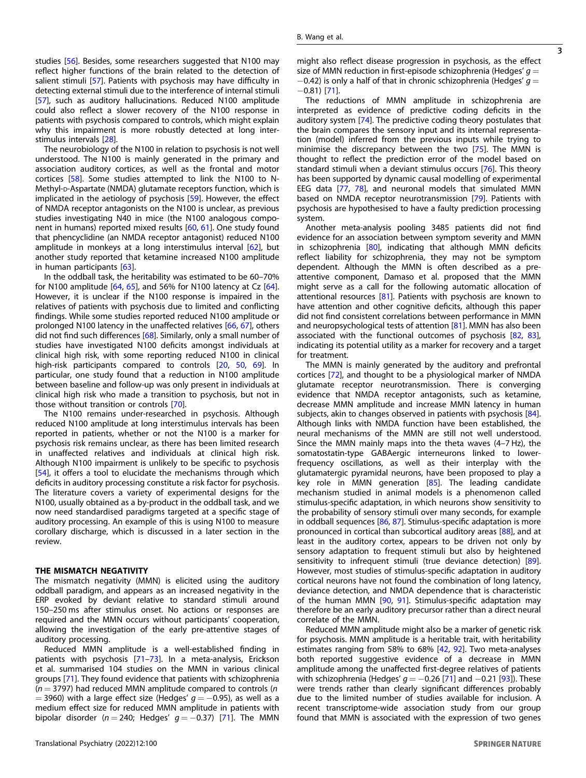3

studies [[56\]](#page-7-0). Besides, some researchers suggested that N100 may reflect higher functions of the brain related to the detection of salient stimuli [[57\]](#page-7-0). Patients with psychosis may have difficulty in detecting external stimuli due to the interference of internal stimuli [\[57](#page-7-0)], such as auditory hallucinations. Reduced N100 amplitude could also reflect a slower recovery of the N100 response in patients with psychosis compared to controls, which might explain why this impairment is more robustly detected at long interstimulus intervals [\[28](#page-6-0)].

The neurobiology of the N100 in relation to psychosis is not well understood. The N100 is mainly generated in the primary and association auditory cortices, as well as the frontal and motor cortices [[58](#page-7-0)]. Some studies attempted to link the N100 to N-Methyl-p-Aspartate (NMDA) glutamate receptors function, which is implicated in the aetiology of psychosis [[59](#page-7-0)]. However, the effect of NMDA receptor antagonists on the N100 is unclear, as previous studies investigating N40 in mice (the N100 analogous component in humans) reported mixed results [[60,](#page-7-0) [61](#page-7-0)]. One study found that phencyclidine (an NMDA receptor antagonist) reduced N100 amplitude in monkeys at a long interstimulus interval [[62\]](#page-7-0), but another study reported that ketamine increased N100 amplitude in human participants [[63](#page-7-0)].

In the oddball task, the heritability was estimated to be 60–70% for N100 amplitude [[64](#page-7-0), [65\]](#page-7-0), and 56% for N100 latency at Cz [\[64\]](#page-7-0). However, it is unclear if the N100 response is impaired in the relatives of patients with psychosis due to limited and conflicting findings. While some studies reported reduced N100 amplitude or prolonged N100 latency in the unaffected relatives [\[66](#page-7-0), [67\]](#page-7-0), others did not find such differences [\[68](#page-7-0)]. Similarly, only a small number of studies have investigated N100 deficits amongst individuals at clinical high risk, with some reporting reduced N100 in clinical high-risk participants compared to controls [\[20,](#page-6-0) [50,](#page-6-0) [69](#page-7-0)]. In particular, one study found that a reduction in N100 amplitude between baseline and follow-up was only present in individuals at clinical high risk who made a transition to psychosis, but not in those without transition or controls [\[70](#page-7-0)].

The N100 remains under-researched in psychosis. Although reduced N100 amplitude at long interstimulus intervals has been reported in patients, whether or not the N100 is a marker for psychosis risk remains unclear, as there has been limited research in unaffected relatives and individuals at clinical high risk. Although N100 impairment is unlikely to be specific to psychosis [\[54\]](#page-7-0), it offers a tool to elucidate the mechanisms through which deficits in auditory processing constitute a risk factor for psychosis. The literature covers a variety of experimental designs for the N100, usually obtained as a by-product in the oddball task, and we now need standardised paradigms targeted at a specific stage of auditory processing. An example of this is using N100 to measure corollary discharge, which is discussed in a later section in the review.

#### THE MISMATCH NEGATIVITY

The mismatch negativity (MMN) is elicited using the auditory oddball paradigm, and appears as an increased negativity in the ERP evoked by deviant relative to standard stimuli around 150–250 ms after stimulus onset. No actions or responses are required and the MMN occurs without participants' cooperation, allowing the investigation of the early pre-attentive stages of auditory processing.

Reduced MMN amplitude is a well-established finding in patients with psychosis [\[71](#page-7-0)–[73](#page-7-0)]. In a meta-analysis, Erickson et al. summarised 104 studies on the MMN in various clinical groups [[71\]](#page-7-0). They found evidence that patients with schizophrenia  $(n = 3797)$  had reduced MMN amplitude compared to controls  $(n = 1797)$  $=$  3960) with a large effect size (Hedges'  $g = -0.95$ ), as well as a medium effect size for reduced MMN amplitude in patients with bipolar disorder ( $n = 240$ ; Hedges'  $q = -0.37$ ) [[71\]](#page-7-0). The MMN might also reflect disease progression in psychosis, as the effect size of MMN reduction in first-episode schizophrenia (Hedges'  $q =$  $-0.42$ ) is only a half of that in chronic schizophrenia (Hedges'  $g =$ −0.81) [\[71](#page-7-0)].

The reductions of MMN amplitude in schizophrenia are interpreted as evidence of predictive coding deficits in the auditory system [[74\]](#page-7-0). The predictive coding theory postulates that the brain compares the sensory input and its internal representation (model) inferred from the previous inputs while trying to minimise the discrepancy between the two [[75\]](#page-7-0). The MMN is thought to reflect the prediction error of the model based on standard stimuli when a deviant stimulus occurs [\[76\]](#page-7-0). This theory has been supported by dynamic causal modelling of experimental EEG data [\[77](#page-7-0), [78\]](#page-7-0), and neuronal models that simulated MMN based on NMDA receptor neurotransmission [\[79](#page-7-0)]. Patients with psychosis are hypothesised to have a faulty prediction processing system.

Another meta-analysis pooling 3485 patients did not find evidence for an association between symptom severity and MMN in schizophrenia [[80\]](#page-7-0), indicating that although MMN deficits reflect liability for schizophrenia, they may not be symptom dependent. Although the MMN is often described as a preattentive component, Damaso et al. proposed that the MMN might serve as a call for the following automatic allocation of attentional resources [[81\]](#page-7-0). Patients with psychosis are known to have attention and other cognitive deficits, although this paper did not find consistent correlations between performance in MMN and neuropsychological tests of attention [\[81](#page-7-0)]. MMN has also been associated with the functional outcomes of psychosis [\[82](#page-7-0), [83\]](#page-7-0), indicating its potential utility as a marker for recovery and a target for treatment.

The MMN is mainly generated by the auditory and prefrontal cortices [\[72](#page-7-0)], and thought to be a physiological marker of NMDA glutamate receptor neurotransmission. There is converging evidence that NMDA receptor antagonists, such as ketamine, decrease MMN amplitude and increase MMN latency in human subjects, akin to changes observed in patients with psychosis [\[84\]](#page-7-0). Although links with NMDA function have been established, the neural mechanisms of the MMN are still not well understood. Since the MMN mainly maps into the theta waves (4–7 Hz), the somatostatin-type GABAergic interneurons linked to lowerfrequency oscillations, as well as their interplay with the glutamatergic pyramidal neurons, have been proposed to play a key role in MMN generation [[85](#page-7-0)]. The leading candidate mechanism studied in animal models is a phenomenon called stimulus-specific adaptation, in which neurons show sensitivity to the probability of sensory stimuli over many seconds, for example in oddball sequences [[86](#page-7-0), [87](#page-7-0)]. Stimulus-specific adaptation is more pronounced in cortical than subcortical auditory areas [\[88](#page-7-0)], and at least in the auditory cortex, appears to be driven not only by sensory adaptation to frequent stimuli but also by heightened sensitivity to infrequent stimuli (true deviance detection) [\[89\]](#page-7-0). However, most studies of stimulus-specific adaptation in auditory cortical neurons have not found the combination of long latency, deviance detection, and NMDA dependence that is characteristic of the human MMN [[90,](#page-7-0) [91](#page-7-0)]. Stimulus-specific adaptation may therefore be an early auditory precursor rather than a direct neural correlate of the MMN.

Reduced MMN amplitude might also be a marker of genetic risk for psychosis. MMN amplitude is a heritable trait, with heritability estimates ranging from 58% to 68% [[42,](#page-6-0) [92](#page-7-0)]. Two meta-analyses both reported suggestive evidence of a decrease in MMN amplitude among the unaffected first-degree relatives of patients with schizophrenia (Hedges'  $q = -0.26$  [\[71](#page-7-0)] and  $-0.21$  [[93\]](#page-7-0)). These were trends rather than clearly significant differences probably due to the limited number of studies available for inclusion. A recent transcriptome-wide association study from our group found that MMN is associated with the expression of two genes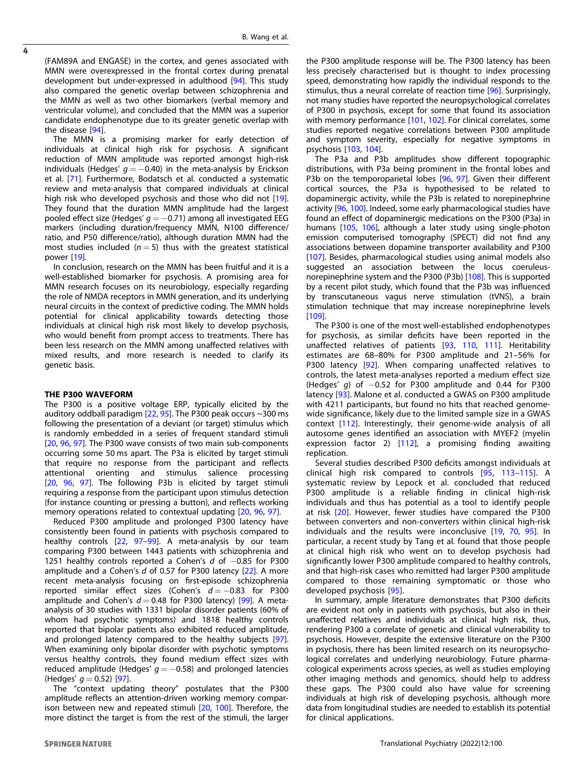(FAM89A and ENGASE) in the cortex, and genes associated with MMN were overexpressed in the frontal cortex during prenatal development but under-expressed in adulthood [\[94](#page-7-0)]. This study also compared the genetic overlap between schizophrenia and the MMN as well as two other biomarkers (verbal memory and ventricular volume), and concluded that the MMN was a superior candidate endophenotype due to its greater genetic overlap with the disease [[94\]](#page-7-0).

The MMN is a promising marker for early detection of individuals at clinical high risk for psychosis. A significant reduction of MMN amplitude was reported amongst high-risk individuals (Hedges'  $q = -0.40$ ) in the meta-analysis by Erickson et al. [[71](#page-7-0)]. Furthermore, Bodatsch et al. conducted a systematic review and meta-analysis that compared individuals at clinical high risk who developed psychosis and those who did not [[19](#page-6-0)]. They found that the duration MMN amplitude had the largest pooled effect size (Hedges'  $q = -0.71$ ) among all investigated EEG markers (including duration/frequency MMN, N100 difference/ ratio, and P50 difference/ratio), although duration MMN had the most studies included ( $n = 5$ ) thus with the greatest statistical power [[19\]](#page-6-0).

In conclusion, research on the MMN has been fruitful and it is a well-established biomarker for psychosis. A promising area for MMN research focuses on its neurobiology, especially regarding the role of NMDA receptors in MMN generation, and its underlying neural circuits in the context of predictive coding. The MMN holds potential for clinical applicability towards detecting those individuals at clinical high risk most likely to develop psychosis, who would benefit from prompt access to treatments. There has been less research on the MMN among unaffected relatives with mixed results, and more research is needed to clarify its genetic basis.

#### THE P300 WAVEFORM

The P300 is a positive voltage ERP, typically elicited by the auditory oddball paradigm  $[22, 95]$  $[22, 95]$  $[22, 95]$  $[22, 95]$  $[22, 95]$ . The P300 peak occurs ~300 ms following the presentation of a deviant (or target) stimulus which is randomly embedded in a series of frequent standard stimuli [[20,](#page-6-0) [96](#page-7-0), [97\]](#page-7-0). The P300 wave consists of two main sub-components occurring some 50 ms apart. The P3a is elicited by target stimuli that require no response from the participant and reflects attentional orienting and stimulus salience processing [[20,](#page-6-0) [96,](#page-7-0) [97](#page-7-0)]. The following P3b is elicited by target stimuli requiring a response from the participant upon stimulus detection (for instance counting or pressing a button), and reflects working memory operations related to contextual updating [\[20,](#page-6-0) [96](#page-7-0), [97](#page-7-0)].

Reduced P300 amplitude and prolonged P300 latency have consistently been found in patients with psychosis compared to healthy controls [[22](#page-6-0), [97](#page-7-0)–[99](#page-7-0)]. A meta-analysis by our team comparing P300 between 1443 patients with schizophrenia and 1251 healthy controls reported a Cohen's d of -0.85 for P300 amplitude and a Cohen's d of 0.57 for P300 latency [[22\]](#page-6-0). A more recent meta-analysis focusing on first-episode schizophrenia reported similar effect sizes (Cohen's  $d = -0.83$  for P300 amplitude and Cohen's  $d = 0.48$  for P300 latency) [\[99](#page-7-0)]. A metaanalysis of 30 studies with 1331 bipolar disorder patients (60% of whom had psychotic symptoms) and 1818 healthy controls reported that bipolar patients also exhibited reduced amplitude, and prolonged latency compared to the healthy subjects [[97](#page-7-0)]. When examining only bipolar disorder with psychotic symptoms versus healthy controls, they found medium effect sizes with reduced amplitude (Hedges'  $g = -0.58$ ) and prolonged latencies (Hedges'  $q = 0.52$ ) [[97\]](#page-7-0).

The "context updating theory" postulates that the P300 amplitude reflects an attention-driven working memory comparison between new and repeated stimuli [\[20,](#page-6-0) [100](#page-7-0)]. Therefore, the more distinct the target is from the rest of the stimuli, the larger

the P300 amplitude response will be. The P300 latency has been less precisely characterised but is thought to index processing speed, demonstrating how rapidly the individual responds to the stimulus, thus a neural correlate of reaction time [[96](#page-7-0)]. Surprisingly, not many studies have reported the neuropsychological correlates of P300 in psychosis, except for some that found its association with memory performance [\[101,](#page-7-0) [102\]](#page-7-0). For clinical correlates, some studies reported negative correlations between P300 amplitude and symptom severity, especially for negative symptoms in psychosis [[103](#page-7-0), [104\]](#page-7-0).

The P3a and P3b amplitudes show different topographic distributions, with P3a being prominent in the frontal lobes and P3b on the temporoparietal lobes [\[96,](#page-7-0) [97](#page-7-0)]. Given their different cortical sources, the P3a is hypothesised to be related to dopaminergic activity, while the P3b is related to norepinephrine activity [[96,](#page-7-0) [100\]](#page-7-0). Indeed, some early pharmacological studies have found an effect of dopaminergic medications on the P300 (P3a) in humans [\[105,](#page-7-0) [106\]](#page-8-0), although a later study using single-photon emission computerised tomography (SPECT) did not find any associations between dopamine transporter availability and P300 [[107\]](#page-8-0). Besides, pharmacological studies using animal models also suggested an association between the locus coeruleusnorepinephrine system and the P300 (P3b) [[108](#page-8-0)]. This is supported by a recent pilot study, which found that the P3b was influenced by transcutaneous vagus nerve stimulation (tVNS), a brain stimulation technique that may increase norepinephrine levels [[109\]](#page-8-0).

The P300 is one of the most well-established endophenotypes for psychosis, as similar deficits have been reported in the unaffected relatives of patients [\[93](#page-7-0), [110,](#page-8-0) [111\]](#page-8-0). Heritability estimates are 68–80% for P300 amplitude and 21–56% for P300 latency [[92](#page-7-0)]. When comparing unaffected relatives to controls, the latest meta-analyses reported a medium effect size (Hedges' g) of  $-0.52$  for P300 amplitude and 0.44 for P300 latency [[93](#page-7-0)]. Malone et al. conducted a GWAS on P300 amplitude with 4211 participants, but found no hits that reached genomewide significance, likely due to the limited sample size in a GWAS context [\[112](#page-8-0)]. Interestingly, their genome-wide analysis of all autosome genes identified an association with MYEF2 (myelin expression factor 2) [\[112](#page-8-0)], a promising finding awaiting replication.

Several studies described P300 deficits amongst individuals at clinical high risk compared to controls [\[95,](#page-7-0) [113](#page-8-0)–[115](#page-8-0)]. A systematic review by Lepock et al. concluded that reduced P300 amplitude is a reliable finding in clinical high-risk individuals and thus has potential as a tool to identify people at risk [[20](#page-6-0)]. However, fewer studies have compared the P300 between converters and non-converters within clinical high-risk individuals and the results were inconclusive [[19](#page-6-0), [70](#page-7-0), [95](#page-7-0)]. In particular, a recent study by Tang et al. found that those people at clinical high risk who went on to develop psychosis had significantly lower P300 amplitude compared to healthy controls, and that high-risk cases who remitted had larger P300 amplitude compared to those remaining symptomatic or those who developed psychosis [[95](#page-7-0)].

In summary, ample literature demonstrates that P300 deficits are evident not only in patients with psychosis, but also in their unaffected relatives and individuals at clinical high risk, thus, rendering P300 a correlate of genetic and clinical vulnerability to psychosis. However, despite the extensive literature on the P300 in psychosis, there has been limited research on its neuropsychological correlates and underlying neurobiology. Future pharmacological experiments across species, as well as studies employing other imaging methods and genomics, should help to address these gaps. The P300 could also have value for screening individuals at high risk of developing psychosis, although more data from longitudinal studies are needed to establish its potential for clinical applications.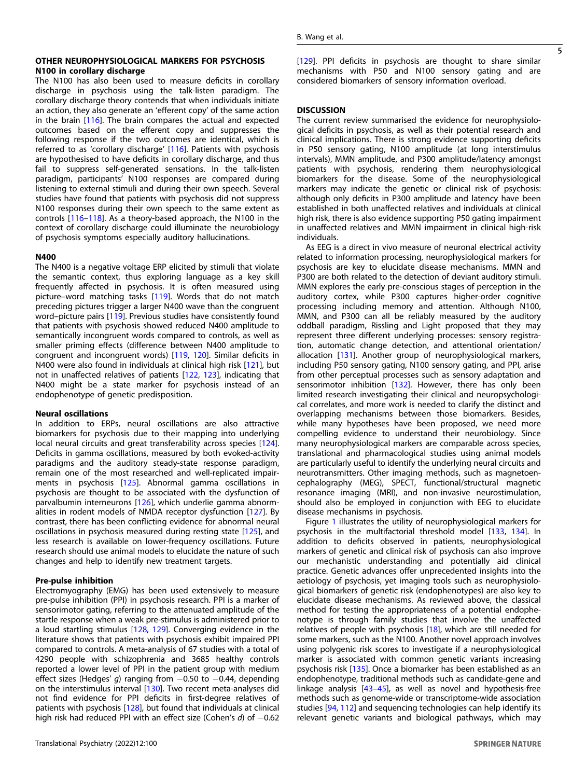### OTHER NEUROPHYSIOLOGICAL MARKERS FOR PSYCHOSIS N100 in corollary discharge

The N100 has also been used to measure deficits in corollary discharge in psychosis using the talk-listen paradigm. The corollary discharge theory contends that when individuals initiate an action, they also generate an 'efferent copy' of the same action in the brain [[116](#page-8-0)]. The brain compares the actual and expected outcomes based on the efferent copy and suppresses the following response if the two outcomes are identical, which is referred to as 'corollary discharge' [\[116\]](#page-8-0). Patients with psychosis are hypothesised to have deficits in corollary discharge, and thus fail to suppress self-generated sensations. In the talk-listen paradigm, participants' N100 responses are compared during listening to external stimuli and during their own speech. Several studies have found that patients with psychosis did not suppress N100 responses during their own speech to the same extent as controls [[116](#page-8-0)–[118\]](#page-8-0). As a theory-based approach, the N100 in the context of corollary discharge could illuminate the neurobiology of psychosis symptoms especially auditory hallucinations.

## N400

The N400 is a negative voltage ERP elicited by stimuli that violate the semantic context, thus exploring language as a key skill frequently affected in psychosis. It is often measured using picture–word matching tasks [[119\]](#page-8-0). Words that do not match preceding pictures trigger a larger N400 wave than the congruent word–picture pairs [\[119\]](#page-8-0). Previous studies have consistently found that patients with psychosis showed reduced N400 amplitude to semantically incongruent words compared to controls, as well as smaller priming effects (difference between N400 amplitude to congruent and incongruent words) [\[119,](#page-8-0) [120\]](#page-8-0). Similar deficits in N400 were also found in individuals at clinical high risk [\[121](#page-8-0)], but not in unaffected relatives of patients [[122](#page-8-0), [123](#page-8-0)], indicating that N400 might be a state marker for psychosis instead of an endophenotype of genetic predisposition.

#### Neural oscillations

In addition to ERPs, neural oscillations are also attractive biomarkers for psychosis due to their mapping into underlying local neural circuits and great transferability across species [[124\]](#page-8-0). Deficits in gamma oscillations, measured by both evoked-activity paradigms and the auditory steady-state response paradigm, remain one of the most researched and well-replicated impairments in psychosis [[125\]](#page-8-0). Abnormal gamma oscillations in psychosis are thought to be associated with the dysfunction of parvalbumin interneurons [[126](#page-8-0)], which underlie gamma abnormalities in rodent models of NMDA receptor dysfunction [[127](#page-8-0)]. By contrast, there has been conflicting evidence for abnormal neural oscillations in psychosis measured during resting state [[125](#page-8-0)], and less research is available on lower-frequency oscillations. Future research should use animal models to elucidate the nature of such changes and help to identify new treatment targets.

## Pre-pulse inhibition

Electromyography (EMG) has been used extensively to measure pre-pulse inhibition (PPI) in psychosis research. PPI is a marker of sensorimotor gating, referring to the attenuated amplitude of the startle response when a weak pre-stimulus is administered prior to a loud startling stimulus [[128](#page-8-0), [129\]](#page-8-0). Converging evidence in the literature shows that patients with psychosis exhibit impaired PPI compared to controls. A meta-analysis of 67 studies with a total of 4290 people with schizophrenia and 3685 healthy controls reported a lower level of PPI in the patient group with medium effect sizes (Hedges' g) ranging from  $-0.50$  to  $-0.44$ , depending on the interstimulus interval [\[130\]](#page-8-0). Two recent meta-analyses did not find evidence for PPI deficits in first-degree relatives of patients with psychosis [\[128\]](#page-8-0), but found that individuals at clinical high risk had reduced PPI with an effect size (Cohen's d) of -0.62 [\[129](#page-8-0)]. PPI deficits in psychosis are thought to share similar mechanisms with P50 and N100 sensory gating and are considered biomarkers of sensory information overload.

#### **DISCUSSION**

The current review summarised the evidence for neurophysiological deficits in psychosis, as well as their potential research and clinical implications. There is strong evidence supporting deficits in P50 sensory gating, N100 amplitude (at long interstimulus intervals), MMN amplitude, and P300 amplitude/latency amongst patients with psychosis, rendering them neurophysiological biomarkers for the disease. Some of the neurophysiological markers may indicate the genetic or clinical risk of psychosis: although only deficits in P300 amplitude and latency have been established in both unaffected relatives and individuals at clinical high risk, there is also evidence supporting P50 gating impairment in unaffected relatives and MMN impairment in clinical high-risk individuals.

As EEG is a direct in vivo measure of neuronal electrical activity related to information processing, neurophysiological markers for psychosis are key to elucidate disease mechanisms. MMN and P300 are both related to the detection of deviant auditory stimuli. MMN explores the early pre-conscious stages of perception in the auditory cortex, while P300 captures higher-order cognitive processing including memory and attention. Although N100, MMN, and P300 can all be reliably measured by the auditory oddball paradigm, Rissling and Light proposed that they may represent three different underlying processes: sensory registration, automatic change detection, and attentional orientation/ allocation [\[131](#page-8-0)]. Another group of neurophysiological markers, including P50 sensory gating, N100 sensory gating, and PPI, arise from other perceptual processes such as sensory adaptation and sensorimotor inhibition [[132\]](#page-8-0). However, there has only been limited research investigating their clinical and neuropsychological correlates, and more work is needed to clarify the distinct and overlapping mechanisms between those biomarkers. Besides, while many hypotheses have been proposed, we need more compelling evidence to understand their neurobiology. Since many neurophysiological markers are comparable across species, translational and pharmacological studies using animal models are particularly useful to identify the underlying neural circuits and neurotransmitters. Other imaging methods, such as magnetoencephalography (MEG), SPECT, functional/structural magnetic resonance imaging (MRI), and non-invasive neurostimulation, should also be employed in conjunction with EEG to elucidate disease mechanisms in psychosis.

Figure [1](#page-5-0) illustrates the utility of neurophysiological markers for psychosis in the multifactorial threshold model [\[133,](#page-8-0) [134](#page-8-0)]. In addition to deficits observed in patients, neurophysiological markers of genetic and clinical risk of psychosis can also improve our mechanistic understanding and potentially aid clinical practice. Genetic advances offer unprecedented insights into the aetiology of psychosis, yet imaging tools such as neurophysiological biomarkers of genetic risk (endophenotypes) are also key to elucidate disease mechanisms. As reviewed above, the classical method for testing the appropriateness of a potential endophenotype is through family studies that involve the unaffected relatives of people with psychosis [[18](#page-6-0)], which are still needed for some markers, such as the N100. Another novel approach involves using polygenic risk scores to investigate if a neurophysiological marker is associated with common genetic variants increasing psychosis risk [[135\]](#page-8-0). Once a biomarker has been established as an endophenotype, traditional methods such as candidate-gene and linkage analysis [\[43](#page-6-0)–[45\]](#page-6-0), as well as novel and hypothesis-free methods such as genome-wide or transcriptome-wide association studies [[94](#page-7-0), [112\]](#page-8-0) and sequencing technologies can help identify its relevant genetic variants and biological pathways, which may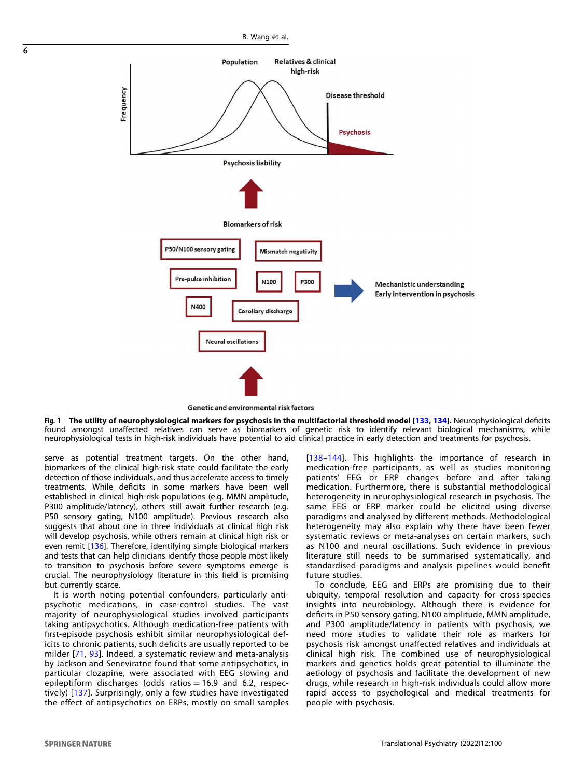<span id="page-5-0"></span>

Genetic and environmental risk factors

Fig. 1 The utility of neurophysiological markers for psychosis in the multifactorial threshold model [\[133](#page-8-0), [134](#page-8-0)]. Neurophysiological deficits found amongst unaffected relatives can serve as biomarkers of genetic risk to identify relevant biological mechanisms, while neurophysiological tests in high-risk individuals have potential to aid clinical practice in early detection and treatments for psychosis.

serve as potential treatment targets. On the other hand, biomarkers of the clinical high-risk state could facilitate the early detection of those individuals, and thus accelerate access to timely treatments. While deficits in some markers have been well established in clinical high-risk populations (e.g. MMN amplitude, P300 amplitude/latency), others still await further research (e.g. P50 sensory gating, N100 amplitude). Previous research also suggests that about one in three individuals at clinical high risk will develop psychosis, while others remain at clinical high risk or even remit [[136\]](#page-8-0). Therefore, identifying simple biological markers and tests that can help clinicians identify those people most likely to transition to psychosis before severe symptoms emerge is crucial. The neurophysiology literature in this field is promising but currently scarce.

It is worth noting potential confounders, particularly antipsychotic medications, in case-control studies. The vast majority of neurophysiological studies involved participants taking antipsychotics. Although medication-free patients with first-episode psychosis exhibit similar neurophysiological deficits to chronic patients, such deficits are usually reported to be milder [\[71](#page-7-0), [93\]](#page-7-0). Indeed, a systematic review and meta-analysis by Jackson and Seneviratne found that some antipsychotics, in particular clozapine, were associated with EEG slowing and epileptiform discharges (odds ratios  $= 16.9$  and 6.2, respectively) [[137](#page-8-0)]. Surprisingly, only a few studies have investigated the effect of antipsychotics on ERPs, mostly on small samples

[[138](#page-8-0)–[144\]](#page-8-0). This highlights the importance of research in medication-free participants, as well as studies monitoring patients' EEG or ERP changes before and after taking medication. Furthermore, there is substantial methodological heterogeneity in neurophysiological research in psychosis. The same EEG or ERP marker could be elicited using diverse paradigms and analysed by different methods. Methodological heterogeneity may also explain why there have been fewer systematic reviews or meta-analyses on certain markers, such as N100 and neural oscillations. Such evidence in previous literature still needs to be summarised systematically, and standardised paradigms and analysis pipelines would benefit future studies.

To conclude, EEG and ERPs are promising due to their ubiquity, temporal resolution and capacity for cross-species insights into neurobiology. Although there is evidence for deficits in P50 sensory gating, N100 amplitude, MMN amplitude, and P300 amplitude/latency in patients with psychosis, we need more studies to validate their role as markers for psychosis risk amongst unaffected relatives and individuals at clinical high risk. The combined use of neurophysiological markers and genetics holds great potential to illuminate the aetiology of psychosis and facilitate the development of new drugs, while research in high-risk individuals could allow more rapid access to psychological and medical treatments for people with psychosis.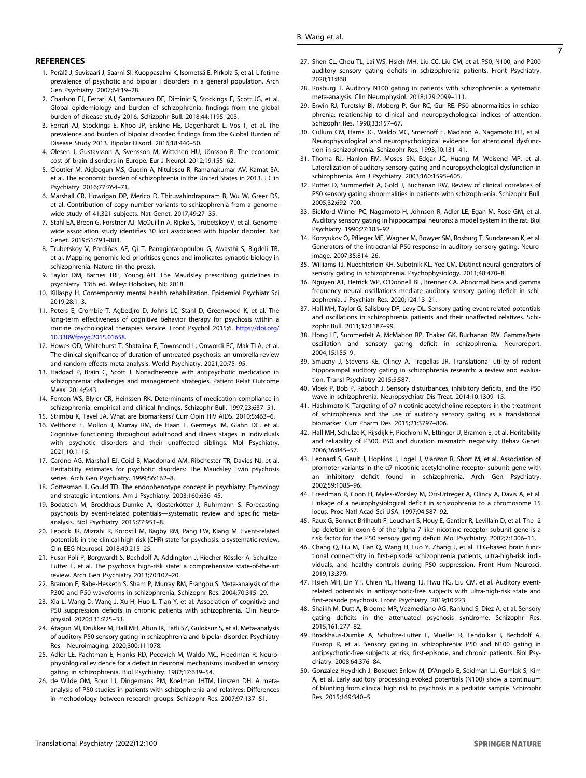#### <span id="page-6-0"></span>**REFERENCES**

- 1. Perälä J, Suvisaari J, Saarni SI, Kuoppasalmi K, Isometsä E, Pirkola S, et al. Lifetime prevalence of psychotic and bipolar I disorders in a general population. Arch Gen Psychiatry. 2007;64:19–28.
- 2. Charlson FJ, Ferrari AJ, Santomauro DF, Diminic S, Stockings E, Scott JG, et al. Global epidemiology and burden of schizophrenia: findings from the global burden of disease study 2016. Schizophr Bull. 2018;44:1195–203.
- 3. Ferrari AJ, Stockings E, Khoo JP, Erskine HE, Degenhardt L, Vos T, et al. The prevalence and burden of bipolar disorder: findings from the Global Burden of Disease Study 2013. Bipolar Disord. 2016;18:440–50.
- 4. Olesen J, Gustavsson A, Svensson M, Wittchen HU, Jönsson B. The economic cost of brain disorders in Europe. Eur J Neurol. 2012;19:155–62.
- 5. Cloutier M, Aigbogun MS, Guerin A, Nitulescu R, Ramanakumar AV, Kamat SA, et al. The economic burden of schizophrenia in the United States in 2013. J Clin Psychiatry. 2016;77:764–71.
- 6. Marshall CR, Howrigan DP, Merico D, Thiruvahindrapuram B, Wu W, Greer DS, et al. Contribution of copy number variants to schizophrenia from a genomewide study of 41,321 subjects. Nat Genet. 2017;49:27–35.
- 7. Stahl EA, Breen G, Forstner AJ, McQuillin A, Ripke S, Trubetskoy V, et al. Genomewide association study identifies 30 loci associated with bipolar disorder. Nat Genet. 2019;51:793–803.
- 8. Trubetskoy V, Pardiñas AF, Qi T, Panagiotaropoulou G, Awasthi S, Bigdeli TB, et al. Mapping genomic loci prioritises genes and implicates synaptic biology in schizophrenia. Nature (in the press).
- 9. Taylor DM, Barnes TRE, Young AH. The Maudsley prescribing guidelines in psychiatry. 13th ed. Wiley: Hoboken, NJ; 2018.
- 10. Killaspy H. Contemporary mental health rehabilitation. Epidemiol Psychiatr Sci 2019;28:1–3.
- 11. Peters E, Crombie T, Agbedjro D, Johns LC, Stahl D, Greenwood K, et al. The long-term effectiveness of cognitive behavior therapy for psychosis within a routine psychological therapies service. Front Psychol 2015;6. [https://doi.org/](https://doi.org/10.3389/fpsyg.2015.01658) [10.3389/fpsyg.2015.01658](https://doi.org/10.3389/fpsyg.2015.01658).
- 12. Howes OD, Whitehurst T, Shatalina E, Townsend L, Onwordi EC, Mak TLA, et al. The clinical significance of duration of untreated psychosis: an umbrella review and random-effects meta-analysis. World Psychiatry. 2021;20:75–95.
- 13. Haddad P, Brain C, Scott J. Nonadherence with antipsychotic medication in schizophrenia: challenges and management strategies. Patient Relat Outcome Meas. 2014;5:43.
- 14. Fenton WS, Blyler CR, Heinssen RK. Determinants of medication compliance in schizophrenia: empirical and clinical findings. Schizophr Bull. 1997;23:637–51.
- 15. Strimbu K, Tavel JA. What are biomarkers? Curr Opin HIV AIDS. 2010;5:463–6.
- 16. Velthorst E, Mollon J, Murray RM, de Haan L, Germeys IM, Glahn DC, et al. Cognitive functioning throughout adulthood and illness stages in individuals with psychotic disorders and their unaffected siblings. Mol Psychiatry. 2021;10:1–15.
- 17. Cardno AG, Marshall EJ, Coid B, Macdonald AM, Ribchester TR, Davies NJ, et al. Heritability estimates for psychotic disorders: The Maudsley Twin psychosis series. Arch Gen Psychiatry. 1999;56:162–8.
- 18. Gottesman II, Gould TD. The endophenotype concept in psychiatry: Etymology and strategic intentions. Am J Psychiatry. 2003;160:636–45.
- 19. Bodatsch M, Brockhaus-Dumke A, Klosterkötter J, Ruhrmann S. Forecasting psychosis by event-related potentials—systematic review and specific metaanalysis. Biol Psychiatry. 2015;77:951–8.
- 20. Lepock JR, Mizrahi R, Korostil M, Bagby RM, Pang EW, Kiang M. Event-related potentials in the clinical high-risk (CHR) state for psychosis: a systematic review. Clin EEG Neurosci. 2018;49:215–25.
- 21. Fusar-Poli P, Borgwardt S, Bechdolf A, Addington J, Riecher-Rössler A, Schultze-Lutter F, et al. The psychosis high-risk state: a comprehensive state-of-the-art review. Arch Gen Psychiatry 2013;70:107–20.
- 22. Bramon E, Rabe-Hesketh S, Sham P, Murray RM, Frangou S. Meta-analysis of the P300 and P50 waveforms in schizophrenia. Schizophr Res. 2004;70:315–29.
- 23. Xia L, Wang D, Wang J, Xu H, Huo L, Tian Y, et al. Association of cognitive and P50 suppression deficits in chronic patients with schizophrenia. Clin Neurophysiol. 2020;131:725–33.
- 24. Atagun MI, Drukker M, Hall MH, Altun IK, Tatli SZ, Guloksuz S, et al. Meta-analysis of auditory P50 sensory gating in schizophrenia and bipolar disorder. Psychiatry Res—Neuroimaging. 2020;300:111078.
- 25. Adler LE, Pachtman E, Franks RD, Pecevich M, Waldo MC, Freedman R. Neurophysiological evidence for a defect in neuronal mechanisms involved in sensory gating in schizophrenia. Biol Psychiatry. 1982;17:639–54.
- 26. de Wilde OM, Bour LJ, Dingemans PM, Koelman JHTM, Linszen DH. A metaanalysis of P50 studies in patients with schizophrenia and relatives: Differences in methodology between research groups. Schizophr Res. 2007;97:137–51.
- 27. Shen CL, Chou TL, Lai WS, Hsieh MH, Liu CC, Liu CM, et al. P50, N100, and P200 auditory sensory gating deficits in schizophrenia patients. Front Psychiatry. 2020;11:868.
- 28. Rosburg T. Auditory N100 gating in patients with schizophrenia: a systematic meta-analysis. Clin Neurophysiol. 2018;129:2099–111.
- 29. Erwin RJ, Turetsky BI, Moberg P, Gur RC, Gur RE. P50 abnormalities in schizophrenia: relationship to clinical and neuropsychological indices of attention. Schizophr Res. 1998;33:157–67.
- 30. Cullum CM, Harris JG, Waldo MC, Smernoff E, Madison A, Nagamoto HT, et al. Neurophysiological and neuropsychological evidence for attentional dysfunction in schizophrenia. Schizophr Res. 1993;10:131–41.
- 31. Thoma RJ, Hanlon FM, Moses SN, Edgar JC, Huang M, Weisend MP, et al. Lateralization of auditory sensory gating and neuropsychological dysfunction in schizophrenia. Am J Psychiatry. 2003;160:1595–605.
- 32. Potter D, Summerfelt A, Gold J, Buchanan RW. Review of clinical correlates of P50 sensory gating abnormalities in patients with schizophrenia. Schizophr Bull. 2005;32:692–700.
- 33. Bickford-Wimer PC, Nagamoto H, Johnson R, Adler LE, Egan M, Rose GM, et al. Auditory sensory gating in hippocampal neurons: a model system in the rat. Biol Psychiatry. 1990;27:183–92.
- 34. Korzyukov O, Pflieger ME, Wagner M, Bowyer SM, Rosburg T, Sundaresan K, et al. Generators of the intracranial P50 response in auditory sensory gating. Neuroimage. 2007;35:814–26.
- 35. Williams TJ, Nuechterlein KH, Subotnik KL, Yee CM. Distinct neural generators of sensory gating in schizophrenia. Psychophysiology. 2011;48:470–8.
- 36. Nguyen AT, Hetrick WP, O'Donnell BF, Brenner CA. Abnormal beta and gamma frequency neural oscillations mediate auditory sensory gating deficit in schizophrenia. J Psychiatr Res. 2020;124:13–21.
- 37. Hall MH, Taylor G, Salisbury DF, Levy DL. Sensory gating event-related potentials and oscillations in schizophrenia patients and their unaffected relatives. Schizophr Bull. 2011;37:1187–99.
- 38. Hong LE, Summerfelt A, McMahon RP, Thaker GK, Buchanan RW. Gamma/beta oscillation and sensory gating deficit in schizophrenia. Neuroreport. 2004;15:155–9.
- 39. Smucny J, Stevens KE, Olincy A, Tregellas JR. Translational utility of rodent hippocampal auditory gating in schizophrenia research: a review and evaluation. Transl Psychiatry 2015;5:587.
- 40. Vlcek P, Bob P, Raboch J. Sensory disturbances, inhibitory deficits, and the P50 wave in schizophrenia. Neuropsychiatr Dis Treat. 2014;10:1309–15.
- 41. Hashimoto K. Targeting of α7 nicotinic acetylcholine receptors in the treatment of schizophrenia and the use of auditory sensory gating as a translational biomarker. Curr Pharm Des. 2015;21:3797–806.
- 42. Hall MH, Schulze K, Rijsdijk F, Picchioni M, Ettinger U, Bramon E, et al. Heritability and reliability of P300, P50 and duration mismatch negativity. Behav Genet. 2006;36:845–57.
- 43. Leonard S, Gault J, Hopkins J, Logel J, Vianzon R, Short M, et al. Association of promoter variants in the α7 nicotinic acetylcholine receptor subunit gene with an inhibitory deficit found in schizophrenia. Arch Gen Psychiatry. 2002;59:1085–96.
- 44. Freedman R, Coon H, Myles-Worsley M, Orr-Urtreger A, Olincy A, Davis A, et al. Linkage of a neurophysiological deficit in schizophrenia to a chromosome 15 locus. Proc Natl Acad Sci USA. 1997;94:587–92.
- 45. Raux G, Bonnet-Brilhault F, Louchart S, Houy E, Gantier R, Levillain D, et al. The -2 bp deletion in exon 6 of the 'alpha 7-like' nicotinic receptor subunit gene is a risk factor for the P50 sensory gating deficit. Mol Psychiatry. 2002;7:1006–11.
- 46. Chang Q, Liu M, Tian Q, Wang H, Luo Y, Zhang J, et al. EEG-based brain functional connectivity in first-episode schizophrenia patients, ultra-high-risk individuals, and healthy controls during P50 suppression. Front Hum Neurosci. 2019;13:379.
- 47. Hsieh MH, Lin YT, Chien YL, Hwang TJ, Hwu HG, Liu CM, et al. Auditory eventrelated potentials in antipsychotic-free subjects with ultra-high-risk state and first-episode psychosis. Front Psychiatry. 2019;10:223.
- 48. Shaikh M, Dutt A, Broome MR, Vozmediano AG, Ranlund S, Diez A, et al. Sensory gating deficits in the attenuated psychosis syndrome. Schizophr Res. 2015;161:277–82.
- 49. Brockhaus-Dumke A, Schultze-Lutter F, Mueller R, Tendolkar I, Bechdolf A, Pukrop R, et al. Sensory gating in schizophrenia: P50 and N100 gating in antipsychotic-free subjects at risk, first-episode, and chronic patients. Biol Psychiatry. 2008;64:376–84.
- 50. Gonzalez-Heydrich J, Bosquet Enlow M, D'Angelo E, Seidman LJ, Gumlak S, Kim A, et al. Early auditory processing evoked potentials (N100) show a continuum of blunting from clinical high risk to psychosis in a pediatric sample. Schizophr Res. 2015;169:340–5.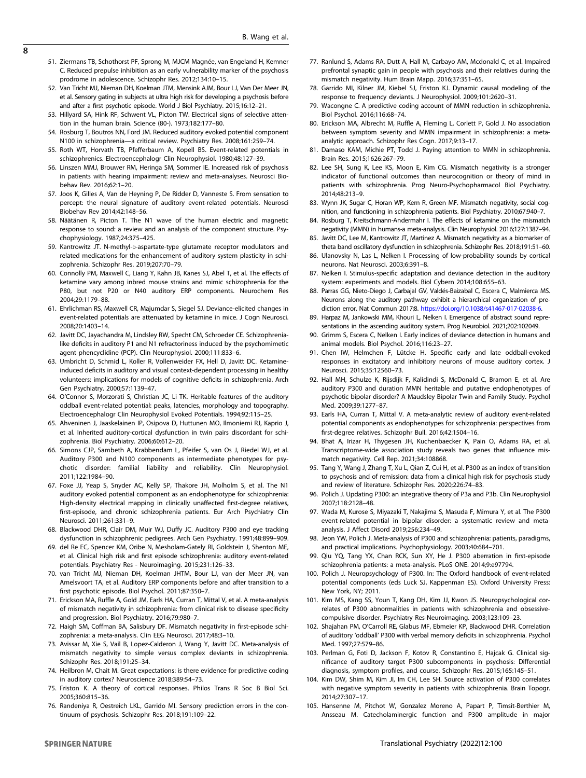- <span id="page-7-0"></span> $\overline{8}$
- 51. Ziermans TB, Schothorst PF, Sprong M, MJCM Magnée, van Engeland H, Kemner C. Reduced prepulse inhibition as an early vulnerability marker of the psychosis prodrome in adolescence. Schizophr Res. 2012;134:10–15.
- 52. Van Tricht MJ, Nieman DH, Koelman JTM, Mensink AJM, Bour LJ, Van Der Meer JN, et al. Sensory gating in subjects at ultra high risk for developing a psychosis before and after a first psychotic episode. World J Biol Psychiatry. 2015;16:12–21.
- 53. Hillyard SA, Hink RF, Schwent VL, Picton TW. Electrical signs of selective attention in the human brain. Science (80-). 1973;182:177–80.
- 54. Rosburg T, Boutros NN, Ford JM. Reduced auditory evoked potential component N100 in schizophrenia—a critical review. Psychiatry Res. 2008;161:259–74.
- 55. Roth WT, Horvath TB, Pfefferbaum A, Kopell BS. Event-related potentials in schizophrenics. Electroencephalogr Clin Neurophysiol. 1980;48:127–39.
- 56. Linszen MMJ, Brouwer RM, Heringa SM, Sommer IE. Increased risk of psychosis in patients with hearing impairment: review and meta-analyses. Neurosci Biobehav Rev. 2016;62:1–20.
- 57. Joos K, Gilles A, Van de Heyning P, De Ridder D, Vanneste S. From sensation to percept: the neural signature of auditory event-related potentials. Neurosci Biobehav Rev 2014;42:148–56.
- 58. Näätänen R, Picton T. The N1 wave of the human electric and magnetic response to sound: a review and an analysis of the component structure. Psychophysiology. 1987;24:375–425.
- 59. Kantrowitz JT. N-methyl-D-aspartate-type glutamate receptor modulators and related medications for the enhancement of auditory system plasticity in schizophrenia. Schizophr Res. 2019;207:70–79.
- 60. Connolly PM, Maxwell C, Liang Y, Kahn JB, Kanes SJ, Abel T, et al. The effects of ketamine vary among inbred mouse strains and mimic schizophrenia for the P80, but not P20 or N40 auditory ERP components. Neurochem Res 2004;29:1179–88.
- 61. Ehrlichman RS, Maxwell CR, Majumdar S, Siegel SJ. Deviance-elicited changes in event-related potentials are attenuated by ketamine in mice. J Cogn Neurosci. 2008;20:1403–14.
- 62. Javitt DC, Jayachandra M, Lindsley RW, Specht CM, Schroeder CE. Schizophrenialike deficits in auditory P1 and N1 refractoriness induced by the psychomimetic agent phencyclidine (PCP). Clin Neurophysiol. 2000;111:833–6.
- 63. Umbricht D, Schmid L, Koller R, Vollenweider FX, Hell D, Javitt DC. Ketamineinduced deficits in auditory and visual context-dependent processing in healthy volunteers: implications for models of cognitive deficits in schizophrenia. Arch Gen Psychiatry. 2000;57:1139–47.
- 64. O'Connor S, Morzorati S, Christian JC, Li TK. Heritable features of the auditory oddball event-related potential: peaks, latencies, morphology and topography. Electroencephalogr Clin Neurophysiol Evoked Potentials. 1994;92:115–25.
- 65. Ahveninen J, Jaaskelainen IP, Osipova D, Huttunen MO, Ilmoniemi RJ, Kaprio J, et al. Inherited auditory-cortical dysfunction in twin pairs discordant for schizophrenia. Biol Psychiatry. 2006;60:612–20.
- 66. Simons CJP, Sambeth A, Krabbendam L, Pfeifer S, van Os J, Riedel WJ, et al. Auditory P300 and N100 components as intermediate phenotypes for psychotic disorder: familial liability and reliability. Clin Neurophysiol. 2011;122:1984–90.
- 67. Foxe JJ, Yeap S, Snyder AC, Kelly SP, Thakore JH, Molholm S, et al. The N1 auditory evoked potential component as an endophenotype for schizophrenia: High-density electrical mapping in clinically unaffected first-degree relatives, first-episode, and chronic schizophrenia patients. Eur Arch Psychiatry Clin Neurosci. 2011;261:331–9.
- 68. Blackwood DHR, Clair DM, Muir WJ, Duffy JC. Auditory P300 and eye tracking dysfunction in schizophrenic pedigrees. Arch Gen Psychiatry. 1991;48:899–909.
- 69. del Re EC, Spencer KM, Oribe N, Mesholam-Gately RI, Goldstein J, Shenton ME, et al. Clinical high risk and first episode schizophrenia: auditory event-related potentials. Psychiatry Res - Neuroimaging. 2015;231:126–33.
- 70. van Tricht MJ, Nieman DH, Koelman JHTM, Bour LJ, van der Meer JN, van Amelsvoort TA, et al. Auditory ERP components before and after transition to a first psychotic episode. Biol Psychol. 2011;87:350–7.
- 71. Erickson MA, Ruffle A, Gold JM, Earls HA, Curran T, Mittal V, et al. A meta-analysis of mismatch negativity in schizophrenia: from clinical risk to disease specificity and progression. Biol Psychiatry. 2016;79:980–7.
- 72. Haigh SM, Coffman BA, Salisbury DF. Mismatch negativity in first-episode schizophrenia: a meta-analysis. Clin EEG Neurosci. 2017;48:3–10.
- 73. Avissar M, Xie S, Vail B, Lopez-Calderon J, Wang Y, Javitt DC. Meta-analysis of mismatch negativity to simple versus complex deviants in schizophrenia. Schizophr Res. 2018;191:25–34.
- 74. Heilbron M, Chait M. Great expectations: is there evidence for predictive coding in auditory cortex? Neuroscience 2018;389:54–73.
- 75. Friston K. A theory of cortical responses. Philos Trans R Soc B Biol Sci. 2005;360:815–36.
- 76. Randeniya R, Oestreich LKL, Garrido MI. Sensory prediction errors in the continuum of psychosis. Schizophr Res. 2018;191:109–22.
- 77. Ranlund S, Adams RA, Dutt A, Hall M, Carbayo AM, Mcdonald C, et al. Impaired prefrontal synaptic gain in people with psychosis and their relatives during the mismatch negativity. Hum Brain Mapp. 2016;37:351–65.
- 78. Garrido MI, Kilner JM, Kiebel SJ, Friston KJ. Dynamic causal modeling of the response to frequency deviants. J Neurophysiol. 2009;101:2620–31.
- 79. Wacongne C. A predictive coding account of MMN reduction in schizophrenia. Biol Psychol. 2016;116:68–74.
- 80. Erickson MA, Albrecht M, Ruffle A, Fleming L, Corlett P, Gold J. No association between symptom severity and MMN impairment in schizophrenia: a metaanalytic approach. Schizophr Res Cogn. 2017;9:13–17.
- 81. Damaso KAM, Michie PT, Todd J. Paying attention to MMN in schizophrenia. Brain Res. 2015;1626:267–79.
- 82. Lee SH, Sung K, Lee KS, Moon E, Kim CG. Mismatch negativity is a stronger indicator of functional outcomes than neurocognition or theory of mind in patients with schizophrenia. Prog Neuro-Psychopharmacol Biol Psychiatry. 2014;48:213–9.
- 83. Wynn JK, Sugar C, Horan WP, Kern R, Green MF. Mismatch negativity, social cognition, and functioning in schizophrenia patients. Biol Psychiatry. 2010;67:940–7.
- 84. Rosburg T, Kreitschmann-Andermahr I. The effects of ketamine on the mismatch negativity (MMN) in humans-a meta-analysis. Clin Neurophysiol. 2016;127:1387–94.
- 85. Javitt DC, Lee M, Kantrowitz JT, Martinez A. Mismatch negativity as a biomarker of theta band oscillatory dysfunction in schizophrenia. Schizophr Res. 2018;191:51–60.
- 86. Ulanovsky N, Las L, Nelken I. Processing of low-probability sounds by cortical neurons. Nat Neurosci. 2003;6:391–8.
- 87. Nelken I. Stimulus-specific adaptation and deviance detection in the auditory system: experiments and models. Biol Cybern 2014;108:655–63.
- 88. Parras GG, Nieto-Diego J, Carbajal GV, Valdés-Baizabal C, Escera C, Malmierca MS. Neurons along the auditory pathway exhibit a hierarchical organization of prediction error. Nat Commun 2017;8. <https://doi.org/10.1038/s41467-017-02038-6>.
- 89. Harpaz M, Jankowski MM, Khouri L, Nelken I. Emergence of abstract sound representations in the ascending auditory system. Prog Neurobiol. 2021;202:102049.
- 90. Grimm S, Escera C, Nelken I. Early indices of deviance detection in humans and animal models. Biol Psychol. 2016;116:23–27.
- 91. Chen IW, Helmchen F, Lütcke H. Specific early and late oddball-evoked responses in excitatory and inhibitory neurons of mouse auditory cortex. J Neurosci. 2015;35:12560–73.
- 92. Hall MH, Schulze K, Rijsdijk F, Kalidindi S, McDonald C, Bramon E, et al. Are auditory P300 and duration MMN heritable and putative endophenotypes of psychotic bipolar disorder? A Maudsley Bipolar Twin and Family Study. Psychol Med. 2009;39:1277–87.
- 93. Earls HA, Curran T, Mittal V. A meta-analytic review of auditory event-related potential components as endophenotypes for schizophrenia: perspectives from first-degree relatives. Schizophr Bull. 2016;42:1504–16.
- 94. Bhat A, Irizar H, Thygesen JH, Kuchenbaecker K, Pain O, Adams RA, et al. Transcriptome-wide association study reveals two genes that influence mismatch negativity. Cell Rep. 2021;34:108868.
- 95. Tang Y, Wang J, Zhang T, Xu L, Qian Z, Cui H, et al. P300 as an index of transition to psychosis and of remission: data from a clinical high risk for psychosis study and review of literature. Schizophr Res. 2020;226:74–83.
- 96. Polich J. Updating P300: an integrative theory of P3a and P3b. Clin Neurophysiol 2007;118:2128–48.
- 97. Wada M, Kurose S, Miyazaki T, Nakajima S, Masuda F, Mimura Y, et al. The P300 event-related potential in bipolar disorder: a systematic review and metaanalysis. J Affect Disord 2019;256:234–49.
- 98. Jeon YW, Polich J. Meta-analysis of P300 and schizophrenia: patients, paradigms, and practical implications. Psychophysiology. 2003;40:684–701.
- 99. Qiu YQ, Tang YX, Chan RCK, Sun XY, He J. P300 aberration in first-episode schizophrenia patients: a meta-analysis. PLoS ONE. 2014;9:e97794.
- 100. Polich J. Neuropsychology of P300. In: The Oxford handbook of event-related potential components (eds Luck SJ, Kappenman ES). Oxford University Press: New York, NY; 2011.
- 101. Kim MS, Kang SS, Youn T, Kang DH, Kim JJ, Kwon JS. Neuropsychological correlates of P300 abnormalities in patients with schizophrenia and obsessivecompulsive disorder. Psychiatry Res-Neuroimaging. 2003;123:109–23.
- 102. Shajahan PM, O'Carroll RE, Glabus MF, Ebmeier KP, Blackwood DHR. Correlation of auditory 'oddball' P300 with verbal memory deficits in schizophrenia. Psychol Med. 1997;27:579–86.
- 103. Perlman G, Foti D, Jackson F, Kotov R, Constantino E, Hajcak G. Clinical significance of auditory target P300 subcomponents in psychosis: Differential diagnosis, symptom profiles, and course. Schizophr Res. 2015;165:145–51.
- 104. Kim DW, Shim M, Kim JI, Im CH, Lee SH. Source activation of P300 correlates with negative symptom severity in patients with schizophrenia. Brain Topogr. 2014;27:307–17.
- 105. Hansenne M, Pitchot W, Gonzalez Moreno A, Papart P, Timsit-Berthier M, Ansseau M. Catecholaminergic function and P300 amplitude in major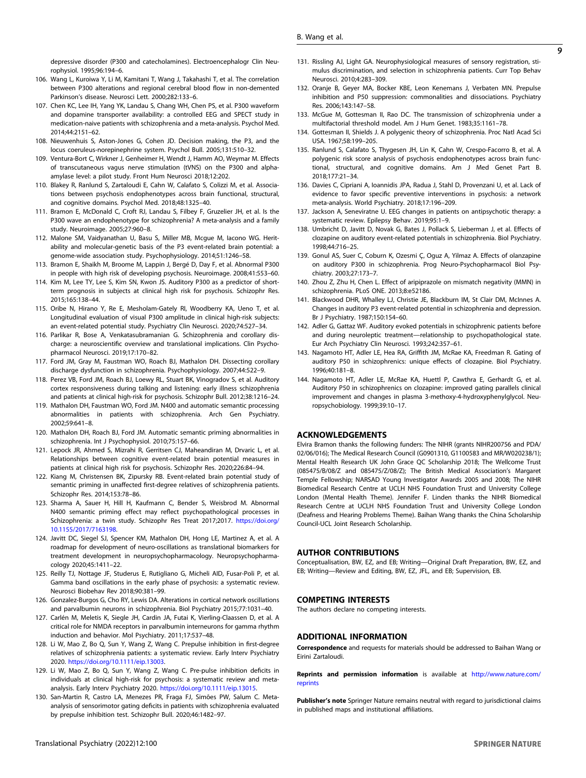- <span id="page-8-0"></span>106. Wang L, Kuroiwa Y, Li M, Kamitani T, Wang J, Takahashi T, et al. The correlation between P300 alterations and regional cerebral blood flow in non-demented Parkinson's disease. Neurosci Lett. 2000;282:133–6.
- 107. Chen KC, Lee IH, Yang YK, Landau S, Chang WH, Chen PS, et al. P300 waveform and dopamine transporter availability: a controlled EEG and SPECT study in medication-naive patients with schizophrenia and a meta-analysis. Psychol Med. 2014;44:2151–62.
- 108. Nieuwenhuis S, Aston-Jones G, Cohen JD. Decision making, the P3, and the locus coeruleus-norepinephrine system. Psychol Bull. 2005;131:510–32.
- 109. Ventura-Bort C, Wirkner J, Genheimer H, Wendt J, Hamm AO, Weymar M. Effects of transcutaneous vagus nerve stimulation (tVNS) on the P300 and alphaamylase level: a pilot study. Front Hum Neurosci 2018;12:202.
- 110. Blakey R, Ranlund S, Zartaloudi E, Cahn W, Calafato S, Colizzi M, et al. Associations between psychosis endophenotypes across brain functional, structural, and cognitive domains. Psychol Med. 2018;48:1325–40.
- 111. Bramon E, McDonald C, Croft RJ, Landau S, Filbey F, Gruzelier JH, et al. Is the P300 wave an endophenotype for schizophrenia? A meta-analysis and a family study. Neuroimage. 2005;27:960–8.
- 112. Malone SM, Vaidyanathan U, Basu S, Miller MB, Mcgue M, Iacono WG. Heritability and molecular-genetic basis of the P3 event-related brain potential: a genome-wide association study. Psychophysiology. 2014;51:1246–58.
- 113. Bramon E, Shaikh M, Broome M, Lappin J, Bergé D, Day F, et al. Abnormal P300 in people with high risk of developing psychosis. Neuroimage. 2008;41:553–60.
- 114. Kim M, Lee TY, Lee S, Kim SN, Kwon JS. Auditory P300 as a predictor of shortterm prognosis in subjects at clinical high risk for psychosis. Schizophr Res. 2015;165:138–44.
- 115. Oribe N, Hirano Y, Re E, Mesholam‐Gately RI, Woodberry KA, Ueno T, et al. Longitudinal evaluation of visual P300 amplitude in clinical high‐risk subjects: an event‐related potential study. Psychiatry Clin Neurosci. 2020;74:527–34.
- 116. Parlikar R, Bose A, Venkatasubramanian G. Schizophrenia and corollary discharge: a neuroscientific overview and translational implications. Clin Psychopharmacol Neurosci. 2019;17:170–82.
- 117. Ford JM, Gray M, Faustman WO, Roach BJ, Mathalon DH. Dissecting corollary discharge dysfunction in schizophrenia. Psychophysiology. 2007;44:522–9.
- 118. Perez VB, Ford JM, Roach BJ, Loewy RL, Stuart BK, Vinogradov S, et al. Auditory cortex responsiveness during talking and listening: early illness schizophrenia and patients at clinical high-risk for psychosis. Schizophr Bull. 2012;38:1216–24.
- 119. Mathalon DH, Faustman WO, Ford JM. N400 and automatic semantic processing abnormalities in patients with schizophrenia. Arch Gen Psychiatry. 2002;59:641–8.
- 120. Mathalon DH, Roach BJ, Ford JM. Automatic semantic priming abnormalities in schizophrenia. Int J Psychophysiol. 2010;75:157–66.
- 121. Lepock JR, Ahmed S, Mizrahi R, Gerritsen CJ, Maheandiran M, Drvaric L, et al. Relationships between cognitive event-related brain potential measures in patients at clinical high risk for psychosis. Schizophr Res. 2020;226:84–94.
- 122. Kiang M, Christensen BK, Zipursky RB. Event-related brain potential study of semantic priming in unaffected first-degree relatives of schizophrenia patients. Schizophr Res. 2014;153:78–86.
- 123. Sharma A, Sauer H, Hill H, Kaufmann C, Bender S, Weisbrod M. Abnormal N400 semantic priming effect may reflect psychopathological processes in Schizophrenia: a twin study. Schizophr Res Treat 2017;2017. [https://doi.org/](https://doi.org/10.1155/2017/7163198) [10.1155/2017/7163198](https://doi.org/10.1155/2017/7163198).
- 124. Javitt DC, Siegel SJ, Spencer KM, Mathalon DH, Hong LE, Martinez A, et al. A roadmap for development of neuro-oscillations as translational biomarkers for treatment development in neuropsychopharmacology. Neuropsychopharmacology 2020;45:1411–22.
- 125. Reilly TJ, Nottage JF, Studerus E, Rutigliano G, Micheli AID, Fusar-Poli P, et al. Gamma band oscillations in the early phase of psychosis: a systematic review. Neurosci Biobehav Rev 2018;90:381–99.
- 126. Gonzalez-Burgos G, Cho RY, Lewis DA. Alterations in cortical network oscillations and parvalbumin neurons in schizophrenia. Biol Psychiatry 2015;77:1031–40.
- 127. Carlén M, Meletis K, Siegle JH, Cardin JA, Futai K, Vierling-Claassen D, et al. A critical role for NMDA receptors in parvalbumin interneurons for gamma rhythm induction and behavior. Mol Psychiatry. 2011;17:537–48.
- 128. Li W, Mao Z, Bo Q, Sun Y, Wang Z, Wang C. Prepulse inhibition in first-degree relatives of schizophrenia patients: a systematic review. Early Interv Psychiatry 2020. [https://doi.org/10.1111/eip.13003.](https://doi.org/10.1111/eip.13003)
- 129. Li W, Mao Z, Bo Q, Sun Y, Wang Z, Wang C. Pre-pulse inhibition deficits in individuals at clinical high-risk for psychosis: a systematic review and metaanalysis. Early Interv Psychiatry 2020. <https://doi.org/10.1111/eip.13015>.
- 130. San-Martin R, Castro LA, Menezes PR, Fraga FJ, Simões PW, Salum C. Metaanalysis of sensorimotor gating deficits in patients with schizophrenia evaluated by prepulse inhibition test. Schizophr Bull. 2020;46:1482–97.
- 131. Rissling AJ, Light GA. Neurophysiological measures of sensory registration, stimulus discrimination, and selection in schizophrenia patients. Curr Top Behav Neurosci. 2010;4:283–309.
- 132. Oranje B, Geyer MA, Bocker KBE, Leon Kenemans J, Verbaten MN. Prepulse inhibition and P50 suppression: commonalities and dissociations. Psychiatry Res. 2006;143:147–58.
- 133. McGue M, Gottesman II, Rao DC. The transmission of schizophrenia under a multifactorial threshold model. Am J Hum Genet. 1983;35:1161–78.
- 134. Gottesman II, Shields J. A polygenic theory of schizophrenia. Proc Natl Acad Sci USA. 1967;58:199–205.
- 135. Ranlund S, Calafato S, Thygesen JH, Lin K, Cahn W, Crespo-Facorro B, et al. A polygenic risk score analysis of psychosis endophenotypes across brain functional, structural, and cognitive domains. Am J Med Genet Part B. 2018;177:21–34.
- 136. Davies C, Cipriani A, Ioannidis JPA, Radua J, Stahl D, Provenzani U, et al. Lack of evidence to favor specific preventive interventions in psychosis: a network meta-analysis. World Psychiatry. 2018;17:196–209.
- 137. Jackson A, Seneviratne U. EEG changes in patients on antipsychotic therapy: a systematic review. Epilepsy Behav. 2019;95:1–9.
- 138. Umbricht D, Javitt D, Novak G, Bates J, Pollack S, Lieberman J, et al. Effects of clozapine on auditory event-related potentials in schizophrenia. Biol Psychiatry. 1998;44:716–25.
- 139. Gonul AS, Suer C, Coburn K, Ozesmi Ç, Oguz A, Yilmaz A. Effects of olanzapine on auditory P300 in schizophrenia. Prog Neuro-Psychopharmacol Biol Psychiatry. 2003;27:173–7.
- 140. Zhou Z, Zhu H, Chen L. Effect of aripiprazole on mismatch negativity (MMN) in schizophrenia. PLoS ONE. 2013;8:e52186.
- 141. Blackwood DHR, Whalley LJ, Christie JE, Blackburn IM, St Clair DM, McInnes A. Changes in auditory P3 event-related potential in schizophrenia and depression. Br J Psychiatry. 1987;150:154–60.
- 142. Adler G, Gattaz WF. Auditory evoked potentials in schizophrenic patients before and during neuroleptic treatment—relationship to psychopathological state. Eur Arch Psychiatry Clin Neurosci. 1993;242:357–61.
- 143. Nagamoto HT, Adler LE, Hea RA, Griffith JM, McRae KA, Freedman R. Gating of auditory P50 in schizophrenics: unique effects of clozapine. Biol Psychiatry. 1996;40:181–8.
- 144. Nagamoto HT, Adler LE, McRae KA, Huettl P, Cawthra E, Gerhardt G, et al. Auditory P50 in schizophrenics on clozapine: improved gating parallels clinical improvement and changes in plasma 3-methoxy-4-hydroxyphenylglycol. Neuropsychobiology. 1999;39:10–17.

## ACKNOWLEDGEMENTS

Elvira Bramon thanks the following funders: The NIHR (grants NIHR200756 and PDA/ 02/06/016); The Medical Research Council (G0901310, G1100583 and MR/W020238/1); Mental Health Research UK John Grace QC Scholarship 2018; The Wellcome Trust (085475/B/08/Z and 085475/Z/08/Z); The British Medical Association's Margaret Temple Fellowship; NARSAD Young Investigator Awards 2005 and 2008; The NIHR Biomedical Research Centre at UCLH NHS Foundation Trust and University College London (Mental Health Theme). Jennifer F. Linden thanks the NIHR Biomedical Research Centre at UCLH NHS Foundation Trust and University College London (Deafness and Hearing Problems Theme). Baihan Wang thanks the China Scholarship Council-UCL Joint Research Scholarship.

# AUTHOR CONTRIBUTIONS

Conceptualisation, BW, EZ, and EB; Writing—Original Draft Preparation, BW, EZ, and EB; Writing—Review and Editing, BW, EZ, JFL, and EB; Supervision, EB.

## COMPETING INTERESTS

The authors declare no competing interests.

# ADDITIONAL INFORMATION

Correspondence and requests for materials should be addressed to Baihan Wang or Eirini Zartaloudi.

Reprints and permission information is available at [http://www.nature.com/](http://www.nature.com/reprints) [reprints](http://www.nature.com/reprints)

Publisher's note Springer Nature remains neutral with regard to jurisdictional claims in published maps and institutional affiliations.